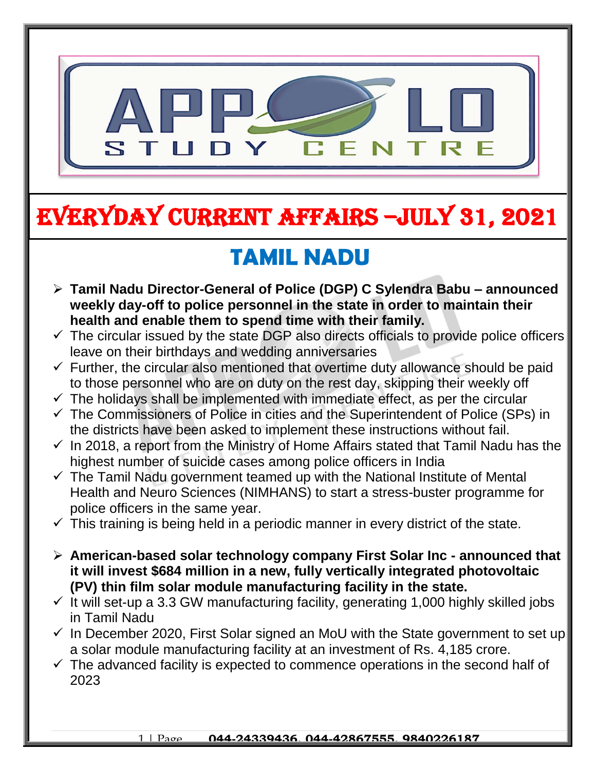

# EVERYDAY CURRENT AFFAIRS –jULY 31, 2021

-

## **TAMIL NADU**

- **Tamil Nadu Director-General of Police (DGP) C Sylendra Babu – announced weekly day-off to police personnel in the state in order to maintain their health and enable them to spend time with their family.**
- $\checkmark$  The circular issued by the state DGP also directs officials to provide police officers leave on their birthdays and wedding anniversaries
- $\checkmark$  Further, the circular also mentioned that overtime duty allowance should be paid to those personnel who are on duty on the rest day, skipping their weekly off
- $\checkmark$  The holidays shall be implemented with immediate effect, as per the circular
- $\checkmark$  The Commissioners of Police in cities and the Superintendent of Police (SPs) in the districts have been asked to implement these instructions without fail.
- $\checkmark$  In 2018, a report from the Ministry of Home Affairs stated that Tamil Nadu has the highest number of suicide cases among police officers in India
- $\checkmark$  The Tamil Nadu government teamed up with the National Institute of Mental Health and Neuro Sciences (NIMHANS) to start a stress-buster programme for police officers in the same year.
- $\checkmark$  This training is being held in a periodic manner in every district of the state.
- **American-based solar technology company First Solar Inc - announced that it will invest \$684 million in a new, fully vertically integrated photovoltaic (PV) thin film solar module manufacturing facility in the state.**
- $\checkmark$  It will set-up a 3.3 GW manufacturing facility, generating 1,000 highly skilled jobs in Tamil Nadu
- $\checkmark$  In December 2020, First Solar signed an MoU with the State government to set up a solar module manufacturing facility at an investment of Rs. 4,185 crore.
- $\checkmark$  The advanced facility is expected to commence operations in the second half of 2023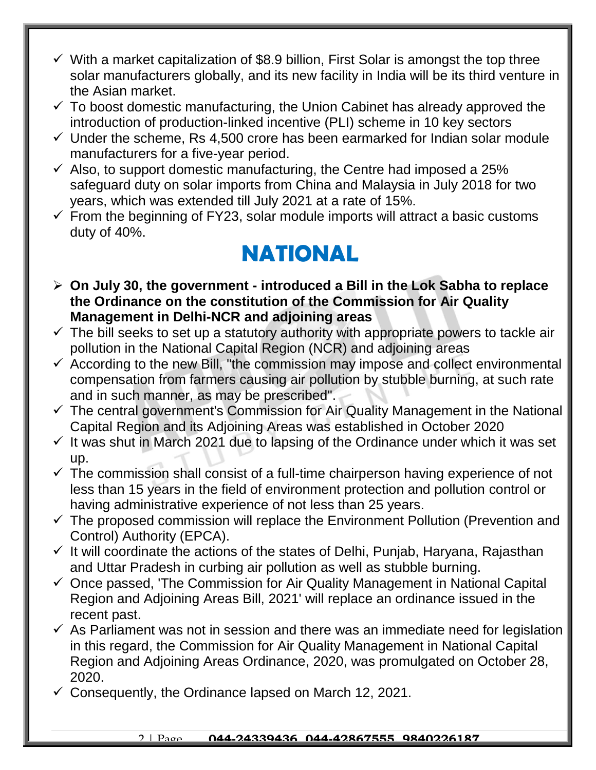- $\checkmark$  With a market capitalization of \$8.9 billion, First Solar is amongst the top three solar manufacturers globally, and its new facility in India will be its third venture in the Asian market.
- $\checkmark$  To boost domestic manufacturing, the Union Cabinet has already approved the introduction of production-linked incentive (PLI) scheme in 10 key sectors
- $\checkmark$  Under the scheme, Rs 4,500 crore has been earmarked for Indian solar module manufacturers for a five-year period.
- $\checkmark$  Also, to support domestic manufacturing, the Centre had imposed a 25% safeguard duty on solar imports from China and Malaysia in July 2018 for two years, which was extended till July 2021 at a rate of 15%.
- $\checkmark$  From the beginning of FY23, solar module imports will attract a basic customs duty of 40%.

#### **NATIONAL**

- **On July 30, the government - introduced a Bill in the Lok Sabha to replace the Ordinance on the constitution of the Commission for Air Quality Management in Delhi-NCR and adjoining areas**
- $\checkmark$  The bill seeks to set up a statutory authority with appropriate powers to tackle air pollution in the National Capital Region (NCR) and adjoining areas
- $\checkmark$  According to the new Bill, "the commission may impose and collect environmental compensation from farmers causing air pollution by stubble burning, at such rate and in such manner, as may be prescribed".
- $\checkmark$  The central government's Commission for Air Quality Management in the National Capital Region and its Adjoining Areas was established in October 2020
- $\checkmark$  It was shut in March 2021 due to lapsing of the Ordinance under which it was set up.
- $\checkmark$  The commission shall consist of a full-time chairperson having experience of not less than 15 years in the field of environment protection and pollution control or having administrative experience of not less than 25 years.
- $\checkmark$  The proposed commission will replace the Environment Pollution (Prevention and Control) Authority (EPCA).
- $\checkmark$  It will coordinate the actions of the states of Delhi, Punjab, Haryana, Rajasthan and Uttar Pradesh in curbing air pollution as well as stubble burning.
- $\checkmark$  Once passed, 'The Commission for Air Quality Management in National Capital Region and Adjoining Areas Bill, 2021' will replace an ordinance issued in the recent past.
- $\checkmark$  As Parliament was not in session and there was an immediate need for legislation in this regard, the Commission for Air Quality Management in National Capital Region and Adjoining Areas Ordinance, 2020, was promulgated on October 28, 2020.
- $\checkmark$  Consequently, the Ordinance lapsed on March 12, 2021.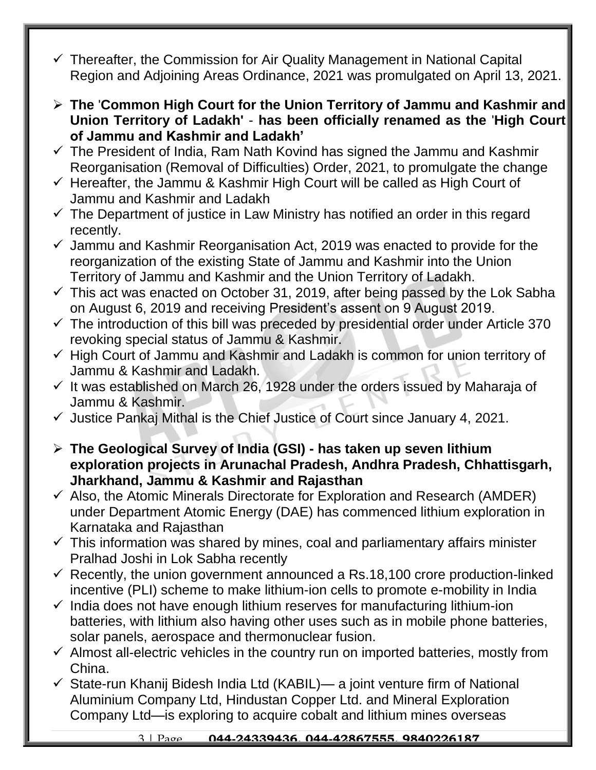- $\checkmark$  Thereafter, the Commission for Air Quality Management in National Capital Region and Adjoining Areas Ordinance, 2021 was promulgated on April 13, 2021.
- **The** '**Common High Court for the Union Territory of Jammu and Kashmir and Union Territory of Ladakh'** - **has been officially renamed as the** '**High Court of Jammu and Kashmir and Ladakh'**
- $\checkmark$  The President of India, Ram Nath Kovind has signed the Jammu and Kashmir Reorganisation (Removal of Difficulties) Order, 2021, to promulgate the change
- $\checkmark$  Hereafter, the Jammu & Kashmir High Court will be called as High Court of Jammu and Kashmir and Ladakh
- $\checkmark$  The Department of justice in Law Ministry has notified an order in this regard recently.
- $\checkmark$  Jammu and Kashmir Reorganisation Act, 2019 was enacted to provide for the reorganization of the existing State of Jammu and Kashmir into the Union Territory of Jammu and Kashmir and the Union Territory of Ladakh.
- $\checkmark$  This act was enacted on October 31, 2019, after being passed by the Lok Sabha on August 6, 2019 and receiving President's assent on 9 August 2019.
- $\checkmark$  The introduction of this bill was preceded by presidential order under Article 370 revoking special status of Jammu & Kashmir.
- $\checkmark$  High Court of Jammu and Kashmir and Ladakh is common for union territory of Jammu & Kashmir and Ladakh.
- $\checkmark$  It was established on March 26, 1928 under the orders issued by Maharaja of Jammu & Kashmir.
- $\checkmark$  Justice Pankaj Mithal is the Chief Justice of Court since January 4, 2021.
- **The Geological Survey of India (GSI) - has taken up seven lithium exploration projects in Arunachal Pradesh, Andhra Pradesh, Chhattisgarh, Jharkhand, Jammu & Kashmir and Rajasthan**
- $\checkmark$  Also, the Atomic Minerals Directorate for Exploration and Research (AMDER) under Department Atomic Energy (DAE) has commenced lithium exploration in Karnataka and Rajasthan
- $\checkmark$  This information was shared by mines, coal and parliamentary affairs minister Pralhad Joshi in Lok Sabha recently
- $\checkmark$  Recently, the union government announced a Rs.18,100 crore production-linked incentive (PLI) scheme to make lithium-ion cells to promote e-mobility in India
- $\checkmark$  India does not have enough lithium reserves for manufacturing lithium-ion batteries, with lithium also having other uses such as in mobile phone batteries, solar panels, aerospace and thermonuclear fusion.
- $\checkmark$  Almost all-electric vehicles in the country run on imported batteries, mostly from China.
- $\checkmark$  State-run Khanij Bidesh India Ltd (KABIL)— a joint venture firm of National Aluminium Company Ltd, Hindustan Copper Ltd. and Mineral Exploration Company Ltd—is exploring to acquire cobalt and lithium mines overseas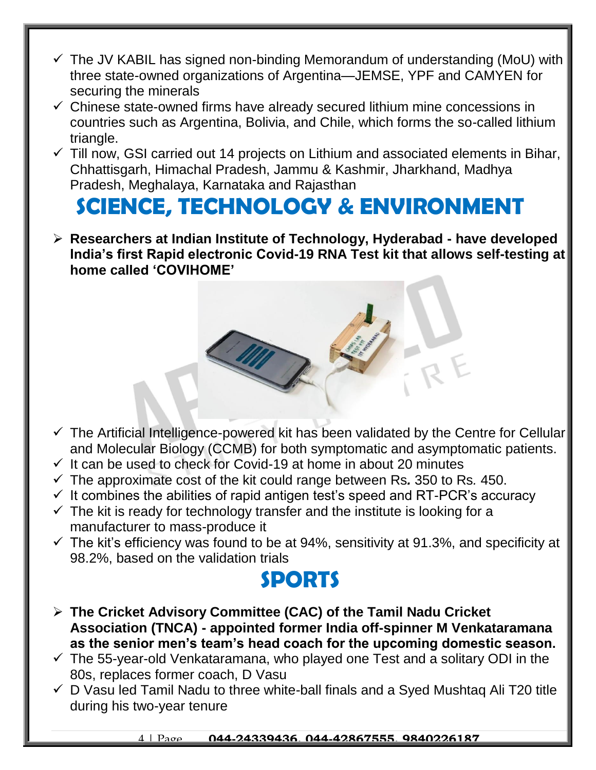- $\checkmark$  The JV KABIL has signed non-binding Memorandum of understanding (MoU) with three state-owned organizations of Argentina—JEMSE, YPF and CAMYEN for securing the minerals
- $\checkmark$  Chinese state-owned firms have already secured lithium mine concessions in countries such as Argentina, Bolivia, and Chile, which forms the so-called lithium triangle.
- $\checkmark$  Till now, GSI carried out 14 projects on Lithium and associated elements in Bihar, Chhattisgarh, Himachal Pradesh, Jammu & Kashmir, Jharkhand, Madhya Pradesh, Meghalaya, Karnataka and Rajasthan

### **SCIENCE, TECHNOLOGY & ENVIRONMENT**

 **Researchers at Indian Institute of Technology, Hyderabad - have developed India's first Rapid electronic Covid-19 RNA Test kit that allows self-testing at home called 'COVIHOME'**

- $\checkmark$  The Artificial Intelligence-powered kit has been validated by the Centre for Cellular and Molecular Biology (CCMB) for both symptomatic and asymptomatic patients.
- $\checkmark$  It can be used to check for Covid-19 at home in about 20 minutes
- The approximate cost of the kit could range between Rs*.* 350 to Rs*.* 450.
- $\checkmark$  It combines the abilities of rapid antigen test's speed and RT-PCR's accuracy
- $\checkmark$  The kit is ready for technology transfer and the institute is looking for a manufacturer to mass-produce it
- $\checkmark$  The kit's efficiency was found to be at 94%, sensitivity at 91.3%, and specificity at 98.2%, based on the validation trials

#### **SPORTS**

- **The Cricket Advisory Committee (CAC) of the Tamil Nadu Cricket Association (TNCA) - appointed former India off-spinner M Venkataramana as the senior men's team's head coach for the upcoming domestic season.**
- $\checkmark$  The 55-year-old Venkataramana, who played one Test and a solitary ODI in the 80s, replaces former coach, D Vasu
- $\checkmark$  D Vasu led Tamil Nadu to three white-ball finals and a Syed Mushtag Ali T20 title during his two-year tenure